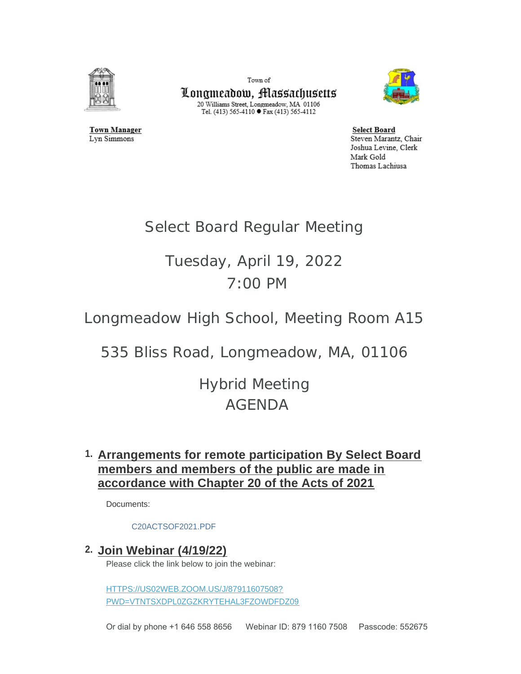

Town of Longmeadow, Massachusetts  $\begin{array}{c} \text{20 Williams Street, Longmeadow, MA$ 01106}\\ \text{Tel. (413) 565-4110}\bullet \text{Fax (413) 565-4112} \end{array}$ 



**Select Board** Steven Marantz, Chair Joshua Levine, Clerk Mark Gold Thomas Lachiusa

# Select Board Regular Meeting

# Tuesday, April 19, 2022 7:00 PM

Longmeadow High School, Meeting Room A15

535 Bliss Road, Longmeadow, MA, 01106

Hybrid Meeting AGENDA

# **Arrangements for remote participation By Select Board 1. members and members of the public are made in accordance with Chapter 20 of the Acts of 2021**

Documents:

#### [C20ACTSOF2021.PDF](https://www.longmeadow.org/AgendaCenter/ViewFile/Item/2240?fileID=21996)

### **Join Webinar (4/19/22) 2.**

Please click the link below to join the webinar:

HTTPS://US02WEB.ZOOM.US/J/87911607508? [PWD=VTNTSXDPL0ZGZKRYTEHAL3FZOWDFDZ09](https://us02web.zoom.us/j/87911607508?pwd=VTNtSXdpL0ZGZkRYTEhaL3FZOWdFdz09)

Or dial by phone +1 646 558 8656 Webinar ID: 879 1160 7508 Passcode: 552675

**Town Manager** Lyn Simmons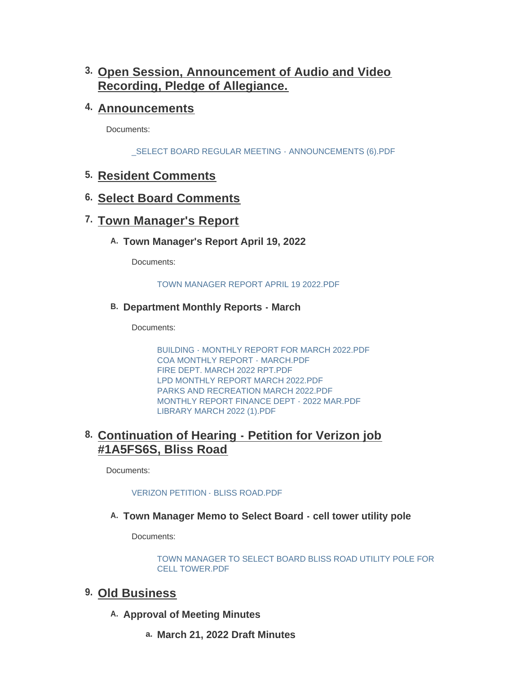# **Open Session, Announcement of Audio and Video 3. Recording, Pledge of Allegiance.**

# **Announcements 4.**

Documents:

[\\_SELECT BOARD REGULAR MEETING - ANNOUNCEMENTS \(6\).PDF](https://www.longmeadow.org/AgendaCenter/ViewFile/Item/2242?fileID=22225)

# **Resident Comments 5.**

# **Select Board Comments 6.**

# **7. Town Manager's Report**

### **Town Manager's Report April 19, 2022 A.**

Documents:

#### [TOWN MANAGER REPORT APRIL 19 2022.PDF](https://www.longmeadow.org/AgendaCenter/ViewFile/Item/2267?fileID=22304)

### **Department Monthly Reports - March B.**

Documents:

[BUILDING - MONTHLY REPORT FOR MARCH 2022.PDF](https://www.longmeadow.org/AgendaCenter/ViewFile/Item/2263?fileID=22214) [COA MONTHLY REPORT - MARCH.PDF](https://www.longmeadow.org/AgendaCenter/ViewFile/Item/2263?fileID=22215) [FIRE DEPT. MARCH 2022 RPT.PDF](https://www.longmeadow.org/AgendaCenter/ViewFile/Item/2263?fileID=22216) [LPD MONTHLY REPORT MARCH 2022.PDF](https://www.longmeadow.org/AgendaCenter/ViewFile/Item/2263?fileID=22217) [PARKS AND RECREATION MARCH 2022.PDF](https://www.longmeadow.org/AgendaCenter/ViewFile/Item/2263?fileID=22218) [MONTHLY REPORT FINANCE DEPT - 2022 MAR.PDF](https://www.longmeadow.org/AgendaCenter/ViewFile/Item/2263?fileID=22226) [LIBRARY MARCH 2022 \(1\).PDF](https://www.longmeadow.org/AgendaCenter/ViewFile/Item/2263?fileID=22302)

# **Continuation of Hearing - Petition for Verizon job 8. #1A5FS6S, Bliss Road**

Documents:

#### [VERIZON PETITION - BLISS ROAD.PDF](https://www.longmeadow.org/AgendaCenter/ViewFile/Item/2254?fileID=22212)

### **Town Manager Memo to Select Board - cell tower utility pole A.**

Documents:

[TOWN MANAGER TO SELECT BOARD BLISS ROAD UTILITY POLE FOR](https://www.longmeadow.org/AgendaCenter/ViewFile/Item/2268?fileID=22305)  CELL TOWER.PDF

### **Old Business 9.**

- A. Approval of Meeting Minutes
	- **March 21, 2022 Draft Minutes a.**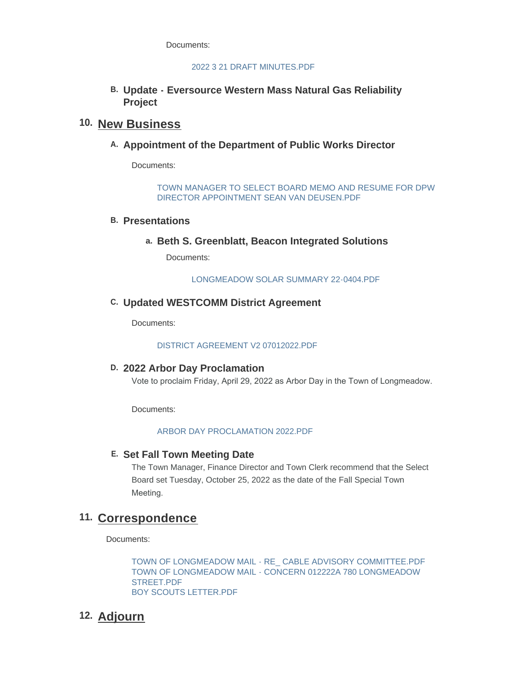Documents:

#### [2022 3 21 DRAFT MINUTES.PDF](https://www.longmeadow.org/AgendaCenter/ViewFile/Item/2266?fileID=22301)

**March 21, 2022 Draft Minutes**

**Update - Eversource Western Mass Natural Gas Reliability B. Project**

### 10. New Business

A. Appointment of the Department of Public Works Director

Documents:

[TOWN MANAGER TO SELECT BOARD MEMO AND RESUME FOR DPW](https://www.longmeadow.org/AgendaCenter/ViewFile/Item/2253?fileID=22227)  DIRECTOR APPOINTMENT SEAN VAN DEUSEN.PDF

#### **Presentations B.**

**Beth S. Greenblatt, Beacon Integrated Solutions a.**

Documents:

[LONGMEADOW SOLAR SUMMARY 22-0404.PDF](https://www.longmeadow.org/AgendaCenter/ViewFile/Item/2257?fileID=22303)

#### **Updated WESTCOMM District Agreement C.**

Documents:

#### [DISTRICT AGREEMENT V2 07012022.PDF](https://www.longmeadow.org/AgendaCenter/ViewFile/Item/2252?fileID=22213)

#### **2022 Arbor Day Proclamation D.**

Vote to proclaim Friday, April 29, 2022 as Arbor Day in the Town of Longmeadow.

Documents:

#### [ARBOR DAY PROCLAMATION 2022.PDF](https://www.longmeadow.org/AgendaCenter/ViewFile/Item/2260?fileID=22211)

#### **Set Fall Town Meeting Date E.**

The Town Manager, Finance Director and Town Clerk recommend that the Select Board set Tuesday, October 25, 2022 as the date of the Fall Special Town Meeting.

### 11. Correspondence

Documents:

[TOWN OF LONGMEADOW MAIL - RE\\_ CABLE ADVISORY COMMITTEE.PDF](https://www.longmeadow.org/AgendaCenter/ViewFile/Item/2265?fileID=22222) [TOWN OF LONGMEADOW MAIL - CONCERN 012222A 780 LONGMEADOW](https://www.longmeadow.org/AgendaCenter/ViewFile/Item/2265?fileID=22223)  STREET.PDF [BOY SCOUTS LETTER.PDF](https://www.longmeadow.org/AgendaCenter/ViewFile/Item/2265?fileID=22224)

# **Adjourn 12.**